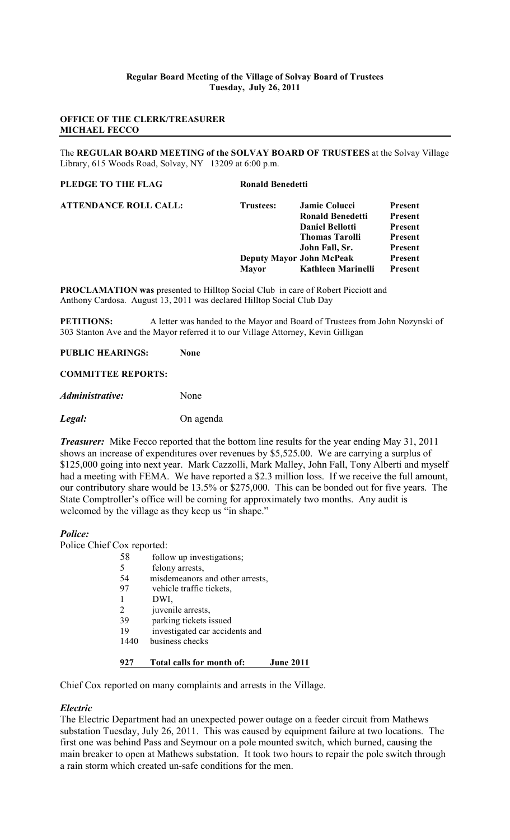## **Regular Board Meeting of the Village of Solvay Board of Trustees Tuesday, July 26, 2011**

## **OFFICE OF THE CLERK/TREASURER MICHAEL FECCO**

The **REGULAR BOARD MEETING of the SOLVAY BOARD OF TRUSTEES** at the Solvay Village Library, 615 Woods Road, Solvay, NY 13209 at 6:00 p.m.

> **Present Present Present Present Present Present**

| PLEDGE TO THE FLAG           | <b>Ronald Benedetti</b> |                                 |         |
|------------------------------|-------------------------|---------------------------------|---------|
| <b>ATTENDANCE ROLL CALL:</b> | Trustees:               | Jamie Colucci                   | Present |
|                              |                         | Ronald Benedetti                | Present |
|                              |                         | <b>Daniel Bellotti</b>          | Present |
|                              |                         | <b>Thomas Tarolli</b>           | Present |
|                              |                         | John Fall, Sr.                  | Present |
|                              |                         | <b>Deputy Mayor John McPeak</b> | Present |
|                              | <b>Mavor</b>            | Kathleen Marinelli              | Present |

**PROCLAMATION was** presented to Hilltop Social Club in care of Robert Picciott and Anthony Cardosa. August 13, 2011 was declared Hilltop Social Club Day

**PETITIONS:** A letter was handed to the Mayor and Board of Trustees from John Nozynski of 303 Stanton Ave and the Mayor referred it to our Village Attorney, Kevin Gilligan

## **PUBLIC HEARINGS: None**

## **COMMITTEE REPORTS:**

*Administrative:* None

*Legal:* On agenda

*Treasurer:* Mike Fecco reported that the bottom line results for the year ending May 31, 2011 shows an increase of expenditures over revenues by \$5,525.00. We are carrying a surplus of \$125,000 going into next year. Mark Cazzolli, Mark Malley, John Fall, Tony Alberti and myself had a meeting with FEMA. We have reported a \$2.3 million loss. If we receive the full amount, our contributory share would be 13.5% or \$275,000. This can be bonded out for five years. The State Comptroller's office will be coming for approximately two months. Any audit is welcomed by the village as they keep us "in shape."

## *Police:*

Police Chief Cox reported:

- 58 follow up investigations;<br>5 felony arrests.
	- felony arrests,
- 54 misdemeanors and other arrests,
- 97 vehicle traffic tickets,
- 1 DWI,
- 2 juvenile arrests,
- 39 parking tickets issued
- 19 investigated car accidents and
- 1440 business checks

## **927 Total calls for month of: June 2011**

Chief Cox reported on many complaints and arrests in the Village.

## *Electric*

The Electric Department had an unexpected power outage on a feeder circuit from Mathews substation Tuesday, July 26, 2011. This was caused by equipment failure at two locations. The first one was behind Pass and Seymour on a pole mounted switch, which burned, causing the main breaker to open at Mathews substation. It took two hours to repair the pole switch through a rain storm which created un-safe conditions for the men.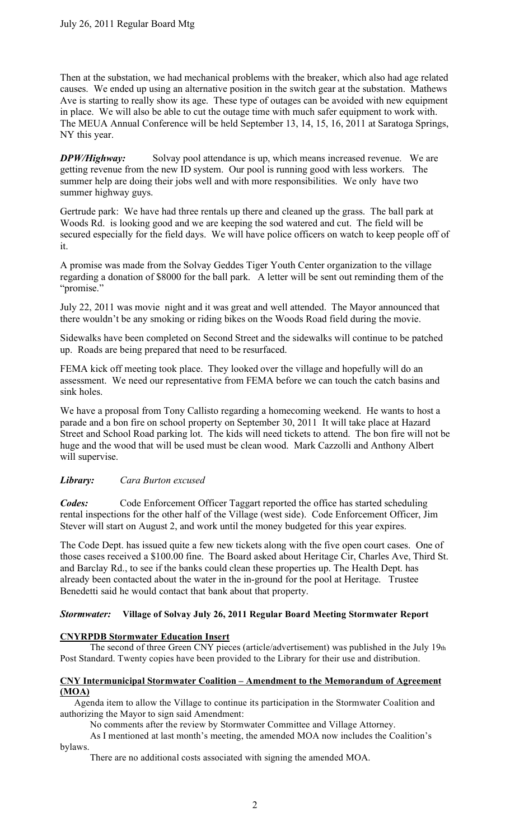Then at the substation, we had mechanical problems with the breaker, which also had age related causes. We ended up using an alternative position in the switch gear at the substation. Mathews Ave is starting to really show its age. These type of outages can be avoided with new equipment in place. We will also be able to cut the outage time with much safer equipment to work with. The MEUA Annual Conference will be held September 13, 14, 15, 16, 2011 at Saratoga Springs, NY this year.

*DPW/Highway:* Solvay pool attendance is up, which means increased revenue. We are getting revenue from the new ID system. Our pool is running good with less workers. The summer help are doing their jobs well and with more responsibilities. We only have two summer highway guys.

Gertrude park: We have had three rentals up there and cleaned up the grass. The ball park at Woods Rd. is looking good and we are keeping the sod watered and cut. The field will be secured especially for the field days. We will have police officers on watch to keep people off of it.

A promise was made from the Solvay Geddes Tiger Youth Center organization to the village regarding a donation of \$8000 for the ball park. A letter will be sent out reminding them of the "promise."

July 22, 2011 was movie night and it was great and well attended. The Mayor announced that there wouldn't be any smoking or riding bikes on the Woods Road field during the movie.

Sidewalks have been completed on Second Street and the sidewalks will continue to be patched up. Roads are being prepared that need to be resurfaced.

FEMA kick off meeting took place. They looked over the village and hopefully will do an assessment. We need our representative from FEMA before we can touch the catch basins and sink holes.

We have a proposal from Tony Callisto regarding a homecoming weekend. He wants to host a parade and a bon fire on school property on September 30, 2011 It will take place at Hazard Street and School Road parking lot. The kids will need tickets to attend. The bon fire will not be huge and the wood that will be used must be clean wood. Mark Cazzolli and Anthony Albert will supervise.

# *Library: Cara Burton excused*

*Codes:* Code Enforcement Officer Taggart reported the office has started scheduling rental inspections for the other half of the Village (west side). Code Enforcement Officer, Jim Stever will start on August 2, and work until the money budgeted for this year expires.

The Code Dept. has issued quite a few new tickets along with the five open court cases. One of those cases received a \$100.00 fine. The Board asked about Heritage Cir, Charles Ave, Third St. and Barclay Rd., to see if the banks could clean these properties up. The Health Dept. has already been contacted about the water in the in-ground for the pool at Heritage. Trustee Benedetti said he would contact that bank about that property.

# *Stormwater:* **Village of Solvay July 26, 2011 Regular Board Meeting Stormwater Report**

# **CNYRPDB Stormwater Education Insert**

The second of three Green CNY pieces (article/advertisement) was published in the July 19th Post Standard. Twenty copies have been provided to the Library for their use and distribution.

## **CNY Intermunicipal Stormwater Coalition – Amendment to the Memorandum of Agreement (MOA)**

 Agenda item to allow the Village to continue its participation in the Stormwater Coalition and authorizing the Mayor to sign said Amendment:

No comments after the review by Stormwater Committee and Village Attorney.

As I mentioned at last month's meeting, the amended MOA now includes the Coalition's bylaws.

There are no additional costs associated with signing the amended MOA.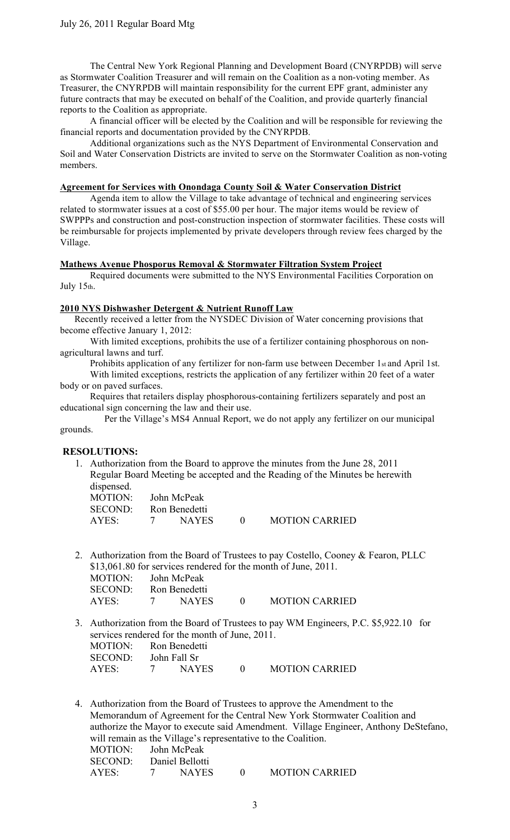The Central New York Regional Planning and Development Board (CNYRPDB) will serve as Stormwater Coalition Treasurer and will remain on the Coalition as a non-voting member. As Treasurer, the CNYRPDB will maintain responsibility for the current EPF grant, administer any future contracts that may be executed on behalf of the Coalition, and provide quarterly financial reports to the Coalition as appropriate.

A financial officer will be elected by the Coalition and will be responsible for reviewing the financial reports and documentation provided by the CNYRPDB.

Additional organizations such as the NYS Department of Environmental Conservation and Soil and Water Conservation Districts are invited to serve on the Stormwater Coalition as non-voting members.

#### **Agreement for Services with Onondaga County Soil & Water Conservation District**

Agenda item to allow the Village to take advantage of technical and engineering services related to stormwater issues at a cost of \$55.00 per hour. The major items would be review of SWPPPs and construction and post-construction inspection of stormwater facilities. These costs will be reimbursable for projects implemented by private developers through review fees charged by the Village.

#### **Mathews Avenue Phosporus Removal & Stormwater Filtration System Project**

Required documents were submitted to the NYS Environmental Facilities Corporation on July 15th.

## **2010 NYS Dishwasher Detergent & Nutrient Runoff Law**

 Recently received a letter from the NYSDEC Division of Water concerning provisions that become effective January 1, 2012:

With limited exceptions, prohibits the use of a fertilizer containing phosphorous on nonagricultural lawns and turf.

Prohibits application of any fertilizer for non-farm use between December 1st and April 1st. With limited exceptions, restricts the application of any fertilizer within 20 feet of a water body or on paved surfaces.

Requires that retailers display phosphorous-containing fertilizers separately and post an educational sign concerning the law and their use.

 Per the Village's MS4 Annual Report, we do not apply any fertilizer on our municipal grounds.

## **RESOLUTIONS:**

1. Authorization from the Board to approve the minutes from the June 28, 2011 Regular Board Meeting be accepted and the Reading of the Minutes be herewith dispensed.

| MOTION: John McPeak |                   |               |           |                       |
|---------------------|-------------------|---------------|-----------|-----------------------|
| SECOND:             |                   | Ron Benedetti |           |                       |
| AYES:               | $7\phantom{0000}$ | <b>NAYES</b>  | $\bigcap$ | <b>MOTION CARRIED</b> |

2. Authorization from the Board of Trustees to pay Costello, Cooney & Fearon, PLLC \$13,061.80 for services rendered for the month of June, 2011.

| MOTION: John McPeak   |              |                       |
|-----------------------|--------------|-----------------------|
| SECOND: Ron Benedetti |              |                       |
| AYES:                 | <b>NAYES</b> | <b>MOTION CARRIED</b> |

3. Authorization from the Board of Trustees to pay WM Engineers, P.C. \$5,922.10 for services rendered for the month of June, 2011. MOTION: Ron Benedetti

| SECOND: | John Fall Sr |              |                       |
|---------|--------------|--------------|-----------------------|
| AYES:   |              | <b>NAYES</b> | <b>MOTION CARRIED</b> |

4. Authorization from the Board of Trustees to approve the Amendment to the Memorandum of Agreement for the Central New York Stormwater Coalition and authorize the Mayor to execute said Amendment. Village Engineer, Anthony DeStefano, will remain as the Village's representative to the Coalition. MOTION: John McPeak SECOND: Daniel Bellotti AYES: 7 NAYES 0 MOTION CARRIED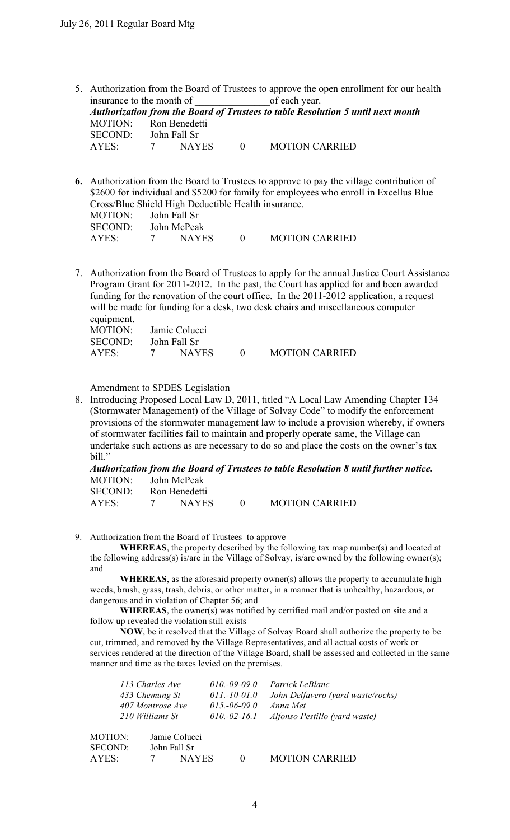5. Authorization from the Board of Trustees to approve the open enrollment for our health insurance to the month of of each year.

|                       |   |              |             |                       | Authorization from the Board of Trustees to table Resolution 5 until next month |
|-----------------------|---|--------------|-------------|-----------------------|---------------------------------------------------------------------------------|
| MOTION: Ron Benedetti |   |              |             |                       |                                                                                 |
| SECOND: John Fall Sr  |   |              |             |                       |                                                                                 |
| AYES                  | 7 | <b>NAYES</b> | $\bullet$ 0 | <b>MOTION CARRIED</b> |                                                                                 |

- **6.** Authorization from the Board to Trustees to approve to pay the village contribution of \$2600 for individual and \$5200 for family for employees who enroll in Excellus Blue Cross/Blue Shield High Deductible Health insurance. MOTION: John Fall Sr SECOND: John McPeak AYES: 7 NAYES 0 MOTION CARRIED
- 7. Authorization from the Board of Trustees to apply for the annual Justice Court Assistance Program Grant for 2011-2012. In the past, the Court has applied for and been awarded funding for the renovation of the court office. In the 2011-2012 application, a request will be made for funding for a desk, two desk chairs and miscellaneous computer equipment. MOTION: Jamie Colucci SECOND: John Fall Sr AYES: 7 NAYES 0 MOTION CARRIED

Amendment to SPDES Legislation

8. Introducing Proposed Local Law D, 2011, titled "A Local Law Amending Chapter 134 (Stormwater Management) of the Village of Solvay Code" to modify the enforcement provisions of the stormwater management law to include a provision whereby, if owners of stormwater facilities fail to maintain and properly operate same, the Village can undertake such actions as are necessary to do so and place the costs on the owner's tax bill."

|                     |               |                |                       | Authorization from the Board of Trustees to table Resolution 8 until further notice. |
|---------------------|---------------|----------------|-----------------------|--------------------------------------------------------------------------------------|
| MOTION: John McPeak |               |                |                       |                                                                                      |
| SECOND:             | Ron Benedetti |                |                       |                                                                                      |
| AYES: 7             | NAYES         | $\overline{0}$ | <b>MOTION CARRIED</b> |                                                                                      |

9. Authorization from the Board of Trustees to approve

**WHEREAS**, the property described by the following tax map number(s) and located at the following address(s) is/are in the Village of Solvay, is/are owned by the following owner(s); and

 **WHEREAS**, as the aforesaid property owner(s) allows the property to accumulate high weeds, brush, grass, trash, debris, or other matter, in a manner that is unhealthy, hazardous, or dangerous and in violation of Chapter 56; and

**WHEREAS**, the owner(s) was notified by certified mail and/or posted on site and a follow up revealed the violation still exists

 **NOW**, be it resolved that the Village of Solvay Board shall authorize the property to be cut, trimmed, and removed by the Village Representatives, and all actual costs of work or services rendered at the direction of the Village Board, shall be assessed and collected in the same manner and time as the taxes levied on the premises.

|                           | 113 Charles Ave<br>433 Chemung St<br>407 Montrose Ave<br>210 Williams St | $010,-09-09.0$<br>$011.-10-01.0$<br>$015.-06-09.0$<br>$010.-02-16.1$ | Patrick LeBlanc<br>John Delfavero (yard waste/rocks)<br>Anna Met<br>Alfonso Pestillo (yard waste) |
|---------------------------|--------------------------------------------------------------------------|----------------------------------------------------------------------|---------------------------------------------------------------------------------------------------|
| MOTION:<br><b>SECOND:</b> | Jamie Colucci<br>John Fall Sr                                            |                                                                      |                                                                                                   |
| AYES:                     | <b>NAYES</b>                                                             |                                                                      | <b>MOTION CARRIED</b>                                                                             |